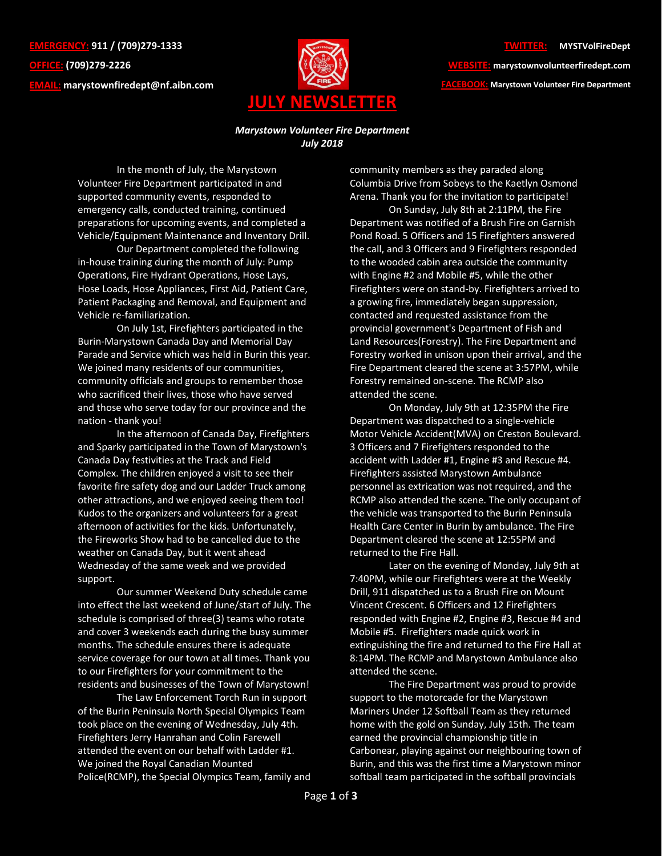**EMERGENCY: 911 / (709)279-1333 OFFICE: (709)279-2226 EMAIL: [marystownfiredept@nf.aibn.com](mailto:marystownfiredept@nf.aibn.com)**



## **TWITTER: @MYSTVolFireDept**

**WEBSITE: marystownvolunteerfiredept.com FACEBOOK: Marystown Volunteer Fire Department**

## *Marystown Volunteer Fire Department July 2018*

In the month of July, the Marystown Volunteer Fire Department participated in and supported community events, responded to emergency calls, conducted training, continued preparations for upcoming events, and completed a Vehicle/Equipment Maintenance and Inventory Drill.

Our Department completed the following in-house training during the month of July: Pump Operations, Fire Hydrant Operations, Hose Lays, Hose Loads, Hose Appliances, First Aid, Patient Care, Patient Packaging and Removal, and Equipment and Vehicle re-familiarization.

On July 1st, Firefighters participated in the Burin-Marystown Canada Day and Memorial Day Parade and Service which was held in Burin this year. We joined many residents of our communities, community officials and groups to remember those who sacrificed their lives, those who have served and those who serve today for our province and the nation - thank you!

In the afternoon of Canada Day, Firefighters and Sparky participated in the Town of Marystown's Canada Day festivities at the Track and Field Complex. The children enjoyed a visit to see their favorite fire safety dog and our Ladder Truck among other attractions, and we enjoyed seeing them too! Kudos to the organizers and volunteers for a great afternoon of activities for the kids. Unfortunately, the Fireworks Show had to be cancelled due to the weather on Canada Day, but it went ahead Wednesday of the same week and we provided support.

Our summer Weekend Duty schedule came into effect the last weekend of June/start of July. The schedule is comprised of three(3) teams who rotate and cover 3 weekends each during the busy summer months. The schedule ensures there is adequate service coverage for our town at all times. Thank you to our Firefighters for your commitment to the residents and businesses of the Town of Marystown!

The Law Enforcement Torch Run in support of the Burin Peninsula North Special Olympics Team took place on the evening of Wednesday, July 4th. Firefighters Jerry Hanrahan and Colin Farewell attended the event on our behalf with Ladder #1. We joined the Royal Canadian Mounted Police(RCMP), the Special Olympics Team, family and

community members as they paraded along Columbia Drive from Sobeys to the Kaetlyn Osmond Arena. Thank you for the invitation to participate!

On Sunday, July 8th at 2:11PM, the Fire Department was notified of a Brush Fire on Garnish Pond Road. 5 Officers and 15 Firefighters answered the call, and 3 Officers and 9 Firefighters responded to the wooded cabin area outside the community with Engine #2 and Mobile #5, while the other Firefighters were on stand-by. Firefighters arrived to a growing fire, immediately began suppression, contacted and requested assistance from the provincial government's Department of Fish and Land Resources(Forestry). The Fire Department and Forestry worked in unison upon their arrival, and the Fire Department cleared the scene at 3:57PM, while Forestry remained on-scene. The RCMP also attended the scene.

On Monday, July 9th at 12:35PM the Fire Department was dispatched to a single-vehicle Motor Vehicle Accident(MVA) on Creston Boulevard. 3 Officers and 7 Firefighters responded to the accident with Ladder #1, Engine #3 and Rescue #4. Firefighters assisted Marystown Ambulance personnel as extrication was not required, and the RCMP also attended the scene. The only occupant of the vehicle was transported to the Burin Peninsula Health Care Center in Burin by ambulance. The Fire Department cleared the scene at 12:55PM and returned to the Fire Hall.

Later on the evening of Monday, July 9th at 7:40PM, while our Firefighters were at the Weekly Drill, 911 dispatched us to a Brush Fire on Mount Vincent Crescent. 6 Officers and 12 Firefighters responded with Engine #2, Engine #3, Rescue #4 and Mobile #5. Firefighters made quick work in extinguishing the fire and returned to the Fire Hall at 8:14PM. The RCMP and Marystown Ambulance also attended the scene.

The Fire Department was proud to provide support to the motorcade for the Marystown Mariners Under 12 Softball Team as they returned home with the gold on Sunday, July 15th. The team earned the provincial championship title in Carbonear, playing against our neighbouring town of Burin, and this was the first time a Marystown minor softball team participated in the softball provincials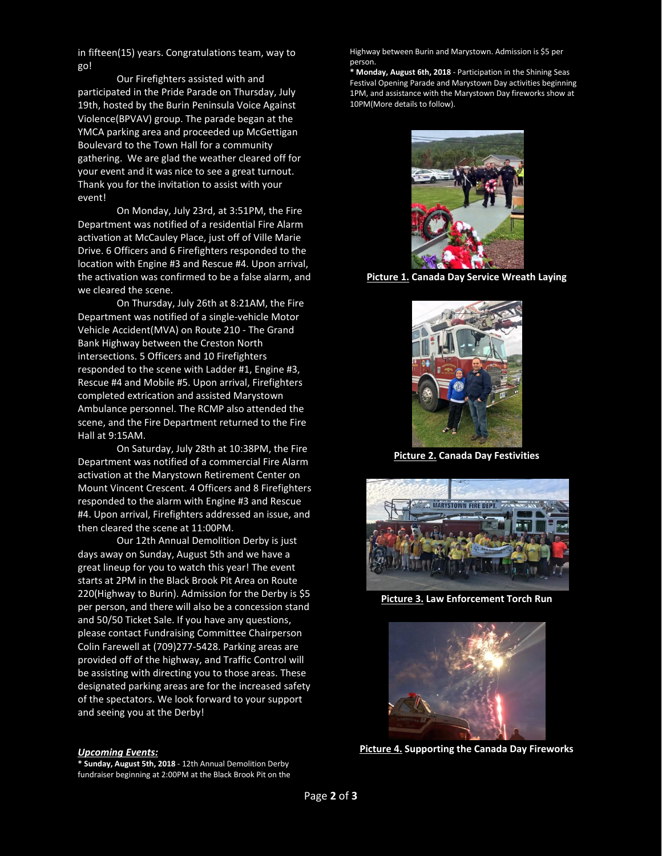in fifteen(15) years. Congratulations team, way to go!

Our Firefighters assisted with and participated in the Pride Parade on Thursday, July 19th, hosted by the Burin Peninsula Voice Against Violence(BPVAV) group. The parade began at the YMCA parking area and proceeded up McGettigan Boulevard to the Town Hall for a community gathering. We are glad the weather cleared off for your event and it was nice to see a great turnout. Thank you for the invitation to assist with your event!

On Monday, July 23rd, at 3:51PM, the Fire Department was notified of a residential Fire Alarm activation at McCauley Place, just off of Ville Marie Drive. 6 Officers and 6 Firefighters responded to the location with Engine #3 and Rescue #4. Upon arrival, the activation was confirmed to be a false alarm, and we cleared the scene.

On Thursday, July 26th at 8:21AM, the Fire Department was notified of a single-vehicle Motor Vehicle Accident(MVA) on Route 210 - The Grand Bank Highway between the Creston North intersections. 5 Officers and 10 Firefighters responded to the scene with Ladder #1, Engine #3, Rescue #4 and Mobile #5. Upon arrival, Firefighters completed extrication and assisted Marystown Ambulance personnel. The RCMP also attended the scene, and the Fire Department returned to the Fire Hall at 9:15AM.

On Saturday, July 28th at 10:38PM, the Fire Department was notified of a commercial Fire Alarm activation at the Marystown Retirement Center on Mount Vincent Crescent. 4 Officers and 8 Firefighters responded to the alarm with Engine #3 and Rescue #4. Upon arrival, Firefighters addressed an issue, and then cleared the scene at 11:00PM.

Our 12th Annual Demolition Derby is just days away on Sunday, August 5th and we have a great lineup for you to watch this year! The event starts at 2PM in the Black Brook Pit Area on Route 220(Highway to Burin). Admission for the Derby is \$5 per person, and there will also be a concession stand and 50/50 Ticket Sale. If you have any questions, please contact Fundraising Committee Chairperson Colin Farewell at (709)277-5428. Parking areas are provided off of the highway, and Traffic Control will be assisting with directing you to those areas. These designated parking areas are for the increased safety of the spectators. We look forward to your support and seeing you at the Derby!

Highway between Burin and Marystown. Admission is \$5 per person.

**\* Monday, August 6th, 2018** - Participation in the Shining Seas Festival Opening Parade and Marystown Day activities beginning 1PM, and assistance with the Marystown Day fireworks show at 10PM(More details to follow).



**Picture 1. Canada Day Service Wreath Laying**



**Picture 2. Canada Day Festivities**



**Picture 3. Law Enforcement Torch Run**



**Picture 4. Supporting the Canada Day Fireworks**

## *Upcoming Events:*

**\* Sunday, August 5th, 2018** - 12th Annual Demolition Derby fundraiser beginning at 2:00PM at the Black Brook Pit on the